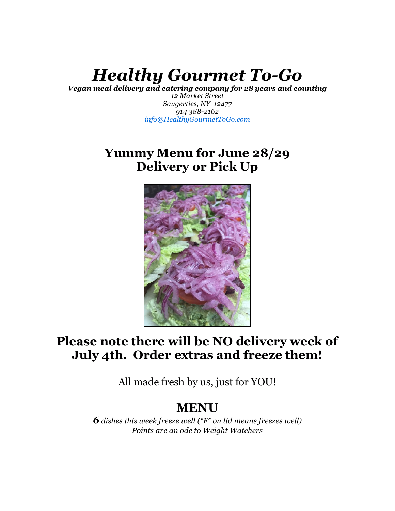# *Healthy Gourmet To-Go*

*Vegan meal delivery and catering company for 28 years and counting*

*12 Market Street Saugerties, NY 12477 914 388-2162 [info@HealthyGourmetToGo.com](mailto:info@HealthyGourmetToGo.com)*

# **Yummy Menu for June 28/29 Delivery or Pick Up**



# **Please note there will be NO delivery week of July 4th. Order extras and freeze them!**

All made fresh by us, just for YOU!

# **MENU**

*6 dishes this week freeze well ("F" on lid means freezes well) Points are an ode to Weight Watchers*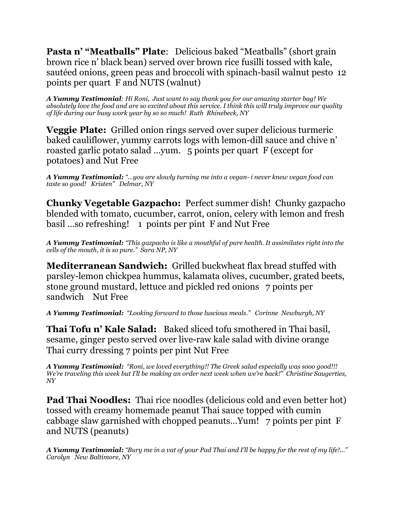**Pasta n' "Meatballs" Plate**: Delicious baked "Meatballs" (short grain brown rice n' black bean) served over brown rice fusilli tossed with kale, sautéed onions, green peas and broccoli with spinach-basil walnut pesto 12 points per quart F and NUTS (walnut)

*A Yummy Testimonial: Hi Roni, Just want to say thank you for our amazing starter bag! We absolutely love the food and are so excited about this service. I think this will truly improve our quality of life during our busy work year by so so much! Ruth Rhinebeck, NY*

**Veggie Plate:** Grilled onion rings served over super delicious turmeric baked cauliflower, yummy carrots logs with lemon-dill sauce and chive n' roasted garlic potato salad …yum. 5 points per quart F (except for potatoes) and Nut Free

*A Yummy Testimonial: "…you are slowly turning me into a vegan- i never knew vegan food can taste so good! Kristen" Delmar, NY* 

**Chunky Vegetable Gazpacho:** Perfect summer dish! Chunky gazpacho blended with tomato, cucumber, carrot, onion, celery with lemon and fresh basil …so refreshing! 1 points per pint F and Nut Free

*A Yummy Testimonial: "This gazpacho is like a mouthful of pure health. It assimilates right into the cells of the mouth, it is so pure." Sara NP, NY*

**Mediterranean Sandwich:** Grilled buckwheat flax bread stuffed with parsley-lemon chickpea hummus, kalamata olives, cucumber, grated beets, stone ground mustard, lettuce and pickled red onions 7 points per sandwich Nut Free

*A Yummy Testimonial: "Looking forward to those luscious meals." Corinne Newburgh, NY*

**Thai Tofu n' Kale Salad:** Baked sliced tofu smothered in Thai basil, sesame, ginger pesto served over live-raw kale salad with divine orange Thai curry dressing 7 points per pint Nut Free

*A Yummy Testimonial: "Roni, we loved everything!! The Greek salad especially was sooo good!!! We're traveling this week but I'll be making an order next week when we're back!" Christine Saugerties, NY*

**Pad Thai Noodles:** Thai rice noodles (delicious cold and even better hot) tossed with creamy homemade peanut Thai sauce topped with cumin cabbage slaw garnished with chopped peanuts…Yum! 7 points per pint F and NUTS (peanuts)

*A Yummy Testimonial: "Bury me in a vat of your Pad Thai and I'll be happy for the rest of my life!…" Carolyn New Baltimore, NY*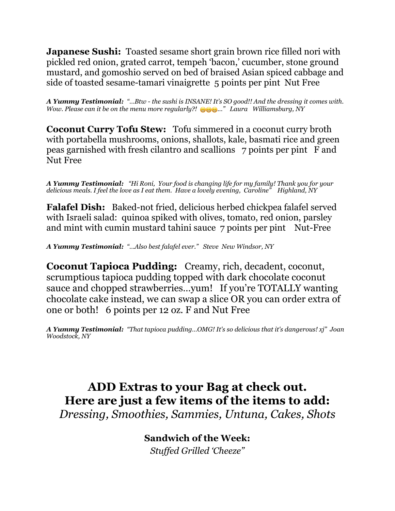**Japanese Sushi:** Toasted sesame short grain brown rice filled nori with pickled red onion, grated carrot, tempeh 'bacon,' cucumber, stone ground mustard, and gomoshio served on bed of braised Asian spiced cabbage and side of toasted sesame-tamari vinaigrette 5 points per pint Nut Free

*A Yummy Testimonial: "…Btw - the sushi is INSANE! It's SO good!! And the dressing it comes with. Wow. Please can it be on the menu more regularly?! …" Laura Williamsburg, NY*

**Coconut Curry Tofu Stew:** Tofu simmered in a coconut curry broth with portabella mushrooms, onions, shallots, kale, basmati rice and green peas garnished with fresh cilantro and scallions 7 points per pint F and Nut Free

*A Yummy Testimonial: "Hi Roni, Your food is changing life for my family! Thank you for your delicious meals. I feel the love as I eat them. Have a lovely evening, Caroline" Highland, NY*

**Falafel Dish:** Baked-not fried, delicious herbed chickpea falafel served with Israeli salad: quinoa spiked with olives, tomato, red onion, parsley and mint with cumin mustard tahini sauce 7 points per pint Nut-Free

*A Yummy Testimonial: "…Also best falafel ever." Steve New Windsor, NY*

**Coconut Tapioca Pudding:** Creamy, rich, decadent, coconut, scrumptious tapioca pudding topped with dark chocolate coconut sauce and chopped strawberries…yum! If you're TOTALLY wanting chocolate cake instead, we can swap a slice OR you can order extra of one or both! 6 points per 12 oz. F and Nut Free

*A Yummy Testimonial: "That tapioca pudding…OMG! It's so delicious that it's dangerous! xj" Joan Woodstock, NY*

## **ADD Extras to your Bag at check out. Here are just a few items of the items to add:** *Dressing, Smoothies, Sammies, Untuna, Cakes, Shots*

**Sandwich of the Week:** *Stuffed Grilled 'Cheeze"*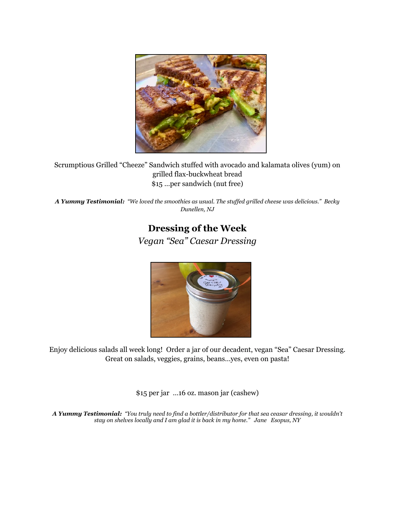

Scrumptious Grilled "Cheeze" Sandwich stuffed with avocado and kalamata olives (yum) on grilled flax-buckwheat bread \$15 …per sandwich (nut free)

*A Yummy Testimonial: "We loved the smoothies as usual. The stuffed grilled cheese was delicious." Becky Dunellen, NJ*

## **Dressing of the Week** *Vegan "Sea" Caesar Dressing*



Enjoy delicious salads all week long! Order a jar of our decadent, vegan "Sea" Caesar Dressing. Great on salads, veggies, grains, beans…yes, even on pasta!

\$15 per jar …16 oz. mason jar (cashew)

*A Yummy Testimonial: "You truly need to find a bottler/distributor for that sea ceasar dressing, it wouldn't stay on shelves locally and I am glad it is back in my home." Jane Esopus, NY*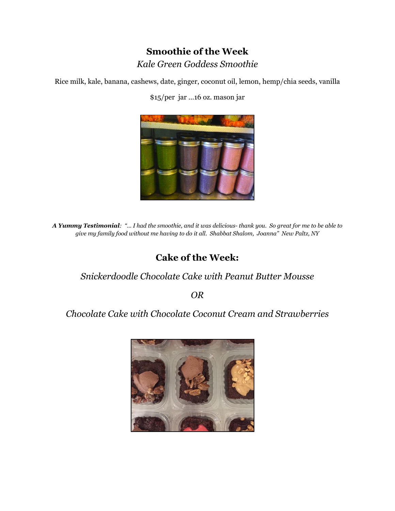## **Smoothie of the Week** *Kale Green Goddess Smoothie*

Rice milk, kale, banana, cashews, date, ginger, coconut oil, lemon, hemp/chia seeds, vanilla

\$15/per jar …16 oz. mason jar



*A Yummy Testimonial: "… I had the smoothie, and it was delicious- thank you. So great for me to be able to give my family food without me having to do it all. Shabbat Shalom, Joanna" New Paltz, NY*

## **Cake of the Week:**

#### *Snickerdoodle Chocolate Cake with Peanut Butter Mousse*

*OR*

#### *Chocolate Cake with Chocolate Coconut Cream and Strawberries*